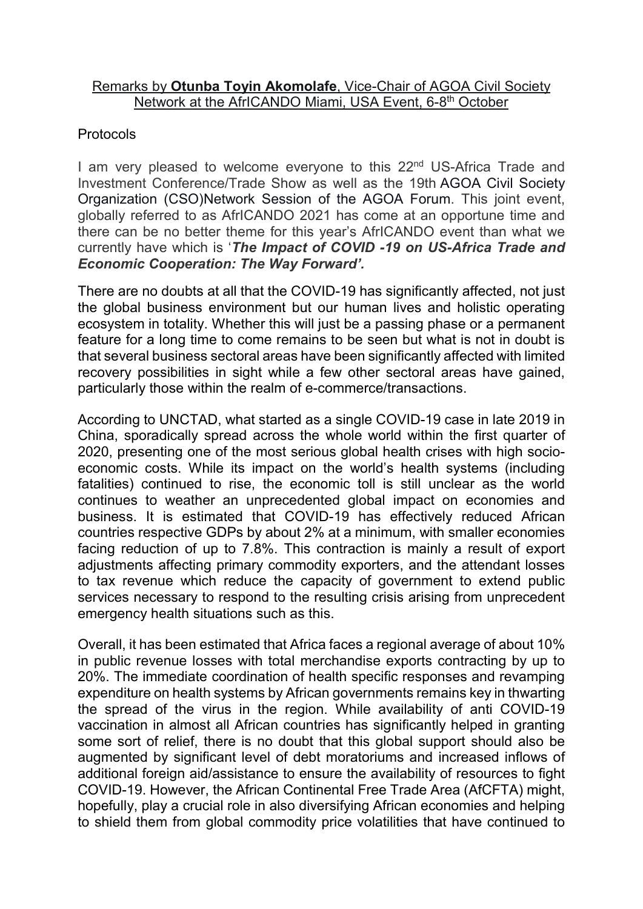## Remarks by **Otunba Toyin Akomolafe**, Vice-Chair of AGOA Civil Society Network at the AfrICANDO Miami, USA Event, 6-8<sup>th</sup> October

## Protocols

I am very pleased to welcome everyone to this 22<sup>nd</sup> US-Africa Trade and Investment Conference/Trade Show as well as the 19th AGOA Civil Society Organization (CSO)Network Session of the AGOA Forum. This joint event, globally referred to as AfrICANDO 2021 has come at an opportune time and there can be no better theme for this year's AfrICANDO event than what we currently have which is '*The Impact of COVID -19 on US-Africa Trade and Economic Cooperation: The Way Forward'.*

There are no doubts at all that the COVID-19 has significantly affected, not just the global business environment but our human lives and holistic operating ecosystem in totality. Whether this will just be a passing phase or a permanent feature for a long time to come remains to be seen but what is not in doubt is that several business sectoral areas have been significantly affected with limited recovery possibilities in sight while a few other sectoral areas have gained, particularly those within the realm of e-commerce/transactions.

According to UNCTAD, what started as a single COVID-19 case in late 2019 in China, sporadically spread across the whole world within the first quarter of 2020, presenting one of the most serious global health crises with high socioeconomic costs. While its impact on the world's health systems (including fatalities) continued to rise, the economic toll is still unclear as the world continues to weather an unprecedented global impact on economies and business. It is estimated that COVID-19 has effectively reduced African countries respective GDPs by about 2% at a minimum, with smaller economies facing reduction of up to 7.8%. This contraction is mainly a result of export adjustments affecting primary commodity exporters, and the attendant losses to tax revenue which reduce the capacity of government to extend public services necessary to respond to the resulting crisis arising from unprecedent emergency health situations such as this.

Overall, it has been estimated that Africa faces a regional average of about 10% in public revenue losses with total merchandise exports contracting by up to 20%. The immediate coordination of health specific responses and revamping expenditure on health systems by African governments remains key in thwarting the spread of the virus in the region. While availability of anti COVID-19 vaccination in almost all African countries has significantly helped in granting some sort of relief, there is no doubt that this global support should also be augmented by significant level of debt moratoriums and increased inflows of additional foreign aid/assistance to ensure the availability of resources to fight COVID-19. However, the African Continental Free Trade Area (AfCFTA) might, hopefully, play a crucial role in also diversifying African economies and helping to shield them from global commodity price volatilities that have continued to